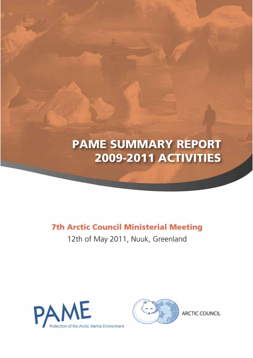# **PAME SUMMARY REPORT 2009-2011 ACTIVITIES**

# **7th Arctic Council Ministerial Meeting**

12th of May 2011, Nuuk, Greenland





**ARCTIC COUNCIL**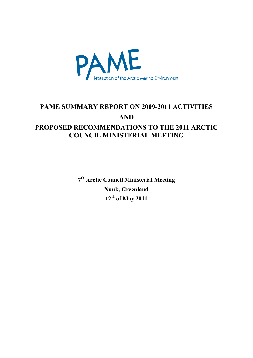

# **PAME SUMMARY REPORT ON 2009-2011 ACTIVITIES AND**

# **PROPOSED RECOMMENDATIONS TO THE 2011 ARCTIC COUNCIL MINISTERIAL MEETING**

**7th Arctic Council Ministerial Meeting Nuuk, Greenland 12th of May 2011**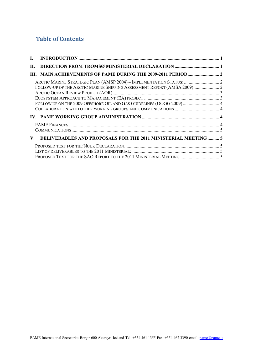## **Table of Contents**

| Н. |                                                                                                                                                                                                                                         |  |
|----|-----------------------------------------------------------------------------------------------------------------------------------------------------------------------------------------------------------------------------------------|--|
|    |                                                                                                                                                                                                                                         |  |
|    |                                                                                                                                                                                                                                         |  |
|    |                                                                                                                                                                                                                                         |  |
|    | FOLLOW-UP OF THE ARCTIC MARINE SHIPPING ASSESSMENT REPORT (AMSA 2009): 2<br>FOLLOW UP ON THE 2009 OFFSHORE OIL AND GAS GUIDELINES (OOGG 2009)  4<br><b>DELIVERABLES AND PROPOSALS FOR THE 2011 MINISTERIAL MEETING 5</b><br>$V_{\rm A}$ |  |
|    |                                                                                                                                                                                                                                         |  |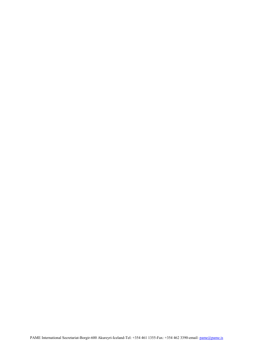PAME International Secretariat-Borgir-600 Akureyri-Iceland-Tel: +354 461 1355-Fax: +354 462 3390-email: pame@pame.is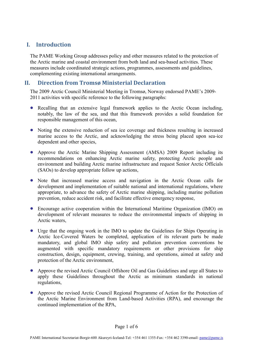## **I. Introduction**

The PAME Working Group addresses policy and other measures related to the protection of the Arctic marine and coastal environment from both land and sea-based activities. These measures include coordinated strategic actions, programmes, assessments and guidelines, complementing existing international arrangements.

#### **II. Direction from Tromsø Ministerial Declaration**

The 2009 Arctic Council Ministerial Meeting in Tromsø, Norway endorsed PAME's 2009- 2011 activities with specific reference to the following paragraphs:

- Recalling that an extensive legal framework applies to the Arctic Ocean including, notably, the law of the sea, and that this framework provides a solid foundation for responsible management of this ocean,
- Noting the extensive reduction of sea ice coverage and thickness resulting in increased marine access to the Arctic, and acknowledging the stress being placed upon sea-ice dependent and other species,
- Approve the Arctic Marine Shipping Assessment (AMSA) 2009 Report including its recommendations on enhancing Arctic marine safety, protecting Arctic people and environment and building Arctic marine infrastructure and request Senior Arctic Officials (SAOs) to develop appropriate follow up actions,
- Note that increased marine access and navigation in the Arctic Ocean calls for development and implementation of suitable national and international regulations, where appropriate, to advance the safety of Arctic marine shipping, including marine pollution prevention, reduce accident risk, and facilitate effective emergency response,
- Encourage active cooperation within the International Maritime Organization (IMO) on development of relevant measures to reduce the environmental impacts of shipping in Arctic waters,
- Urge that the ongoing work in the IMO to update the Guidelines for Ships Operating in Arctic Ice-Covered Waters be completed, application of its relevant parts be made mandatory, and global IMO ship safety and pollution prevention conventions be augmented with specific mandatory requirements or other provisions for ship construction, design, equipment, crewing, training, and operations, aimed at safety and protection of the Arctic environment,
- Approve the revised Arctic Council Offshore Oil and Gas Guidelines and urge all States to apply these Guidelines throughout the Arctic as minimum standards in national regulations,
- Approve the revised Arctic Council Regional Programme of Action for the Protection of the Arctic Marine Environment from Land-based Activities (RPA), and encourage the continued implementation of the RPA,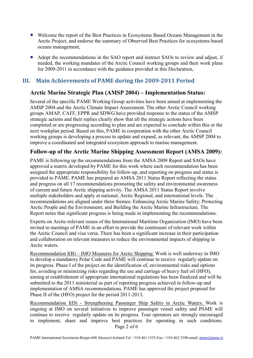- Welcome the report of the Best Practices in Ecosystems Based Oceans Management in the Arctic Project, and endorse the summary of Observed Best Practices for ecosystems-based oceans management,
- Adopt the recommendations in the SAO report and instruct SAOs to review and adjust, if needed, the working mandates of the Arctic Council working groups and their work plans for 2009-2011 in accordance with the guidance provided in this Declaration,

#### **III. Main Achievements of PAME during the 20092011 Period**

#### **Arctic Marine Strategic Plan (AMSP 2004) – Implementation Status:**

Several of the specific PAME Working Group activities have been aimed at implementing the AMSP 2004 and the Arctic Climate Impact Assessment. The other Arctic Council working groups AMAP, CAFF, EPPR and SDWG have provided response to the status of the AMSP strategic actions and their replies clearly show that all the strategic actions have been completed or are progressing according to plan and are expected to conclude within this or the next workplan period. Based on this, PAME in cooperation with the other Arctic Council working groups is developing a process to update and expand, as relevant, the AMSP 2004 to improve a coordinated and integrated ecosystem approach to marine management.

#### **Follow-up of the Arctic Marine Shipping Assessment Report (AMSA 2009):**

PAME is following up the recommendations from the AMSA 2009 Report and SAOs have approved a matrix developed by PAME for this work where each recommendation has been assigned the appropriate responsibility for follow-up, and reporting on progress and status is provided to PAME. PAME has prepared an AMSA 2011 Status Report reflecting the status and progress on all 17 recommendations promoting the safety and environmental awareness of current and future Arctic shipping activity. The AMSA 2011 Status Report involve multiple stakeholders and apply at national, Arctic Regional, and international levels. The recommendations are aligned under three themes: Enhancing Arctic Marine Safety; Protecting Arctic People and the Environment; and Building the Arctic Marine Infrastructure. The Report notes that significant progress is being made in implementing the recommendations.

Experts on Arctic-relevant issues of the International Maritime Organization (IMO) have been invited to meetings of PAME in an effort to provide the continuum of relevant work within the Arctic Council and visa versa. There has been a significant increase in their participation and collaboration on relevant measures to reduce the environmental impacts of shipping in Arctic waters.

Recommendation I(B) – IMO Measures for Arctic Shipping: Work is well underway in IMO to develop a mandatory Polar Code and PAME will continue to receive regularly update on its progress. Phase I of the project on the identification of, environmental risks and options for, avoiding or minimizing risks regarding the use and carriage of heavy fuel oil (HFO), aiming at establishment of appropriate international regulations has been finalized and will be submitted to the 2011 ministerial as part of reporting progress achieved in follow-up and implementation of AMSA recommendations. PAME has approved the project proposal for Phase II of the (HFO) project for the period 2011-2013.

Page 2 of 6 Recommendation I(D) - Strengthening Passenger Ship Safety in Arctic Waters: Work is ongoing at IMO on several initiatives to improve passenger vessel safety and PAME will continue to receive regularly update on its progress. Tour operators are strongly encouraged to implement, share and improve best practices for operating in such conditions.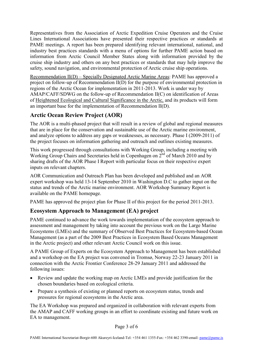Representatives from the Association of Arctic Expedition Cruise Operators and the Cruise Lines International Associations have presented their respective practices or standards at PAME meetings. A report has been prepared identifying relevant international, national, and industry best practices standards with a menu of options for further PAME action based on information from Arctic Council Member States along with information provided by the cruise ship industry and others on any best practices or standards that may help improve the safety, sound navigation, and environmental protection of Arctic cruise ship operations.

Recommendation II(D) – Specially Designated Arctic Marine Areas: PAME has approved a project on follow-up of Recommendation II(D) for the purpose of environmental protection in regions of the Arctic Ocean for implementation in 2011-2013. Work is under way by AMAP/CAFF/SDWG on the follow-up of Recommendation II(C) on identification of Areas of Heightened Ecological and Cultural Significance in the Arctic, and its products will form an important base for the implementation of Recommendation II(D).

# **Arctic Ocean Review Project (AOR)**

The AOR is a multi-phased project that will result in a review of global and regional measures that are in place for the conservation and sustainable use of the Arctic marine environment, and analyze options to address any gaps or weaknesses, as necessary. Phase I (2009-2011) of the project focuses on information gathering and outreach and outlines existing measures.

This work progressed through consultations with Working Group, including a meeting with Working Group Chairs and Secretaries held in Copenhagen on  $2^{nd}$  of March 2010 and by sharing drafts of the AOR Phase I Report with particular focus on their respective expert inputs on relevant chapters.

AOR Communication and Outreach Plan has been developed and published and an AOR expert workshop was held 13-14 September 2010 in Washington D.C to gather input on the status and trends of the Arctic marine environment. AOR Workshop Summary Report is available on the PAME homepage.

PAME has approved the project plan for Phase II of this project for the period 2011-2013.

# **Ecosystem Approach to Management (EA) project**

PAME continued to advance the work towards implementation of the ecosystem approach to assessment and management by taking into account the previous work on the Large Marine Ecosystems (LMEs) and the summary of Observed Best Practices for Ecosystem-based Ocean Management (as a part of the 2009 Best Practices in Ecosystem Based Oceans Management in the Arctic project) and other relevant Arctic Council work on this issue.

A PAME Group of Experts on the Ecosystem Approach to Management has been established and a workshop on the EA project was convened in Tromsø, Norway 22-23 January 2011 in connection with the Arctic Frontier Conference 28-29 January 2011 and addressed the following issues:

- Review and update the working map on Arctic LMEs and provide justification for the chosen boundaries based on ecological criteria.
- Prepare a synthesis of existing or planned reports on ecosystem status, trends and pressures for regional ecosystems in the Arctic area.

The EA Workshop was prepared and organized in collaboration with relevant experts from the AMAP and CAFF working groups in an effort to coordinate existing and future work on EA to management.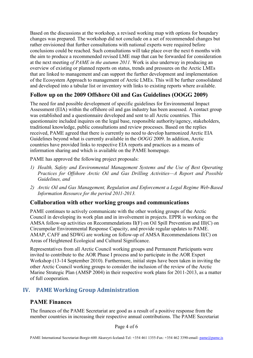Based on the discussions at the workshop, a revised working map with options for boundary changes was prepared. The workshop did not conclude on a set of recommended changes but rather envisioned that further consultations with national experts were required before conclusions could be reached. Such consultations will take place over the next 6 months with the aim to produce a recommended revised LME map that can be forwarded for consideration at the next meeting *of PAME in the autumn 2011.* Work is also underway in producing an overview of existing or planned reports on status, trends and pressures on the Arctic LMEs that are linked to management and can support the further development and implementation of the Ecosystem Approach to management of Arctic LMEs. This will be further consolidated and developed into a tabular list or inventory with links to existing reports where available.

### **Follow up on the 2009 Offshore Oil and Gas Guidelines (OOGG 2009)**

The need for and possible development of specific guidelines for Environmental Impact Assessment (EIA) within the offshore oil and gas industry has been assessed. A contact group was established and a questionnaire developed and sent to all Arctic countries. This questionnaire included inquires on the legal base, responsible authority/agency, stakeholders, traditional knowledge, public consultations and review processes. Based on the replies received, PAME agreed that there is currently no need to develop harmonized Arctic EIA Guidelines beyond what is currently available in the *OOGG* 2009. In addition, Arctic countries have provided links to respective EIA reports and practices as a means of information sharing and which is available on the PAME homepage.

PAME has approved the following project proposals:

- *1) Health, Safety and Environmental Management Systems and the Use of Best Operating Practices for Offshore Arctic Oil and Gas Drilling Activities—A Report and Possible Guidelines, and*
- *2) Arctic Oil and Gas Management, Regulation and Enforcement a Legal Regime Web-Based Information Resource for the period 2011-2013.*

#### **Collaboration with other working groups and communications**

PAME continues to actively communicate with the other working groups of the Arctic Council in developing its work plan and in involvement in projects. EPPR is working on the AMSA follow-up activities on Recommendations II(F) on Oil Spill Prevention and III(C) on Circumpolar Environmental Response Capacity, and provide regular updates to PAME. AMAP, CAFF and SDWG are working on follow-up of AMSA Recommendations II(C) on Areas of Heightened Ecological and Cultural Significance.

Representatives from all Arctic Council working groups and Permanent Participants were invited to contribute to the AOR Phase I process and to participate in the AOR Expert Workshop (13-14 September 2010). Furthermore, initial steps have been taken in inviting the other Arctic Council working groups to consider the inclusion of the review of the Arctic Marine Strategic Plan (AMSP 2004) in their respective work plans for 2011-2013, as a matter of full cooperation.

#### **IV. PAME Working Group Administration**

#### **PAME Finances**

The finances of the PAME Secretariat are good as a result of a positive response from the member countries in increasing their respective annual contributions. The PAME Secretariat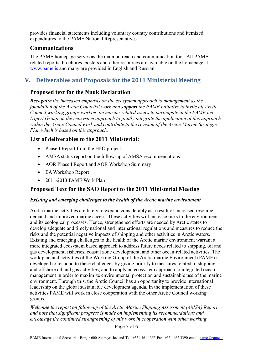provides financial statements including voluntary country contributions and itemized expenditures to the PAME National Representatives.

#### **Communications**

The PAME homepage serves as the main outreach and communication tool. All PAMErelated reports, brochures, posters and other resources are available on the homepage at: www.pame.is and many are provided in English and Russian.

# **V. Deliverables and Proposals for the 2011 Ministerial Meeting**

### **Proposed text for the Nuuk Declaration**

*Recognize the increased emphasis on the ecosystem approach to management as the foundation of the Arctic Councils' work and support the PAME initiative to invite all Arctic Council working groups working on marine-related issues to participate in the PAME led Expert Group on the ecosystem approach to jointly integrate the application of this approach within the Arctic Council work and contribute to the revision of the Arctic Marine Strategic Plan which is based on this approach.* 

#### **List of deliverables to the 2011 Ministerial:**

- Phase I Report from the HFO project
- AMSA status report on the follow-up of AMSA recommendations
- AOR Phase I Report and AOR Workshop Summary
- EA Workshop Report
- 2011-2013 PAME Work Plan

#### **Proposed Text for the SAO Report to the 2011 Ministerial Meeting**

#### *Existing and emerging challenges to the health of the Arctic marine environment*

Arctic marine activities are likely to expand considerably as a result of increased resource demand and improved marine access. These activities will increase risks to the environment and its ecological processes. Hence, strengthened efforts are needed by Arctic states to develop adequate and timely national and international regulations and measures to reduce the risks and the potential negative impacts of shipping and other activities in Arctic waters. Existing and emerging challenges to the health of the Arctic marine environment warrant a more integrated ecosystem based approach to address future needs related to shipping, oil and gas development, fisheries, coastal zone development, and other ocean‐related activities. The work plan and activities of the Working Group of the Arctic marine Environment (PAME) is developed to respond to these challenges by giving priority to measures related to shipping and offshore oil and gas activities, and to apply an ecosystem approach to integrated ocean management in order to maximize environmental protection and sustainable use of the marine environment. Through this, the Arctic Council has an opportunity to provide international leadership on the global sustainable development agenda. In the implementation of these activities PAME will work in close cooperation with the other Arctic Council working groups.

*Welcome the report on follow-up of the Arctic Marine Shipping Assessment (AMSA) Report and note that significant progress is made on implementing its recommendations and encourage the continued strengthening of this work in cooperation with other working* 

Page 5 of 6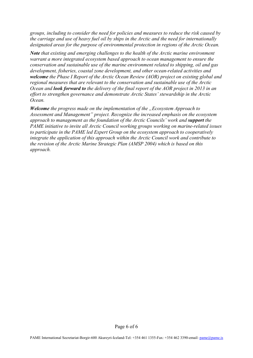*groups, including to consider the need for policies and measures to reduce the risk caused by the carriage and use of heavy fuel oil by ships in the Arctic and the need for internationally designated areas for the purpose of environmental protection in regions of the Arctic Ocean.* 

*Note that existing and emerging challenges to the health of the Arctic marine environment warrant a more integrated ecosystem based approach to ocean management to ensure the conservation and sustainable use of the marine environment related to shipping, oil and gas development, fisheries, coastal zone development, and other ocean-related activities and welcome the Phase I Report of the Arctic Ocean Review (AOR) project on existing global and regional measures that are relevant to the conservation and sustainable use of the Arctic Ocean and look forward to the delivery of the final report of the AOR project in 2013 in an effort to strengthen governance and demonstrate Arctic States' stewardship in the Arctic Ocean.* 

*Welcome* the progress made on the implementation of the "Ecosystem Approach to *Assessment and Management" project. Recognize the increased emphasis on the ecosystem approach to management as the foundation of the Arctic Councils' work and <i>support the PAME initiative to invite all Arctic Council working groups working on marine-related issues to participate in the PAME led Expert Group on the ecosystem approach to cooperatively integrate the application of this approach within the Arctic Council work and contribute to the revision of the Arctic Marine Strategic Plan (AMSP 2004) which is based on this approach.*